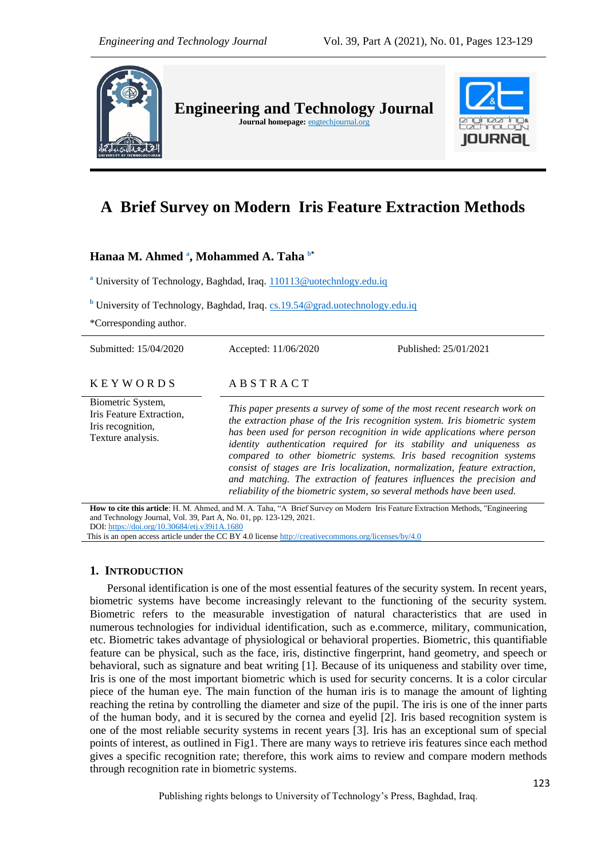

# **A Brief Survey on Modern Iris Feature Extraction Methods**

# **Hanaa M. Ahmed <sup>a</sup> , Mohammed A. Taha b\***

<sup>a</sup> University of Technology, Baghdad, Iraq. 110113@uotechnlogy.edu.iq

**<sup>b</sup>** University of Technology, Baghdad, Iraq. [cs.19.54@grad.uotechnology.edu.iq](mailto:cs.19.54@grad.uotechnology.edu.iq)

\*Corresponding author.

| Submitted: 15/04/2020                                                                   | Accepted: 11/06/2020                                                                                                                                                                                                                                                                                                                                                                                                                                                                                                                                                                                               | Published: 25/01/2021 |  |
|-----------------------------------------------------------------------------------------|--------------------------------------------------------------------------------------------------------------------------------------------------------------------------------------------------------------------------------------------------------------------------------------------------------------------------------------------------------------------------------------------------------------------------------------------------------------------------------------------------------------------------------------------------------------------------------------------------------------------|-----------------------|--|
| <b>KEYWORDS</b>                                                                         | ABSTRACT                                                                                                                                                                                                                                                                                                                                                                                                                                                                                                                                                                                                           |                       |  |
| Biometric System,<br>Iris Feature Extraction,<br>Iris recognition,<br>Texture analysis. | This paper presents a survey of some of the most recent research work on<br>the extraction phase of the Iris recognition system. Iris biometric system<br>has been used for person recognition in wide applications where person<br>identity authentication required for its stability and uniqueness as<br>compared to other biometric systems. Iris based recognition systems<br>consist of stages are Iris localization, normalization, feature extraction,<br>and matching. The extraction of features influences the precision and<br>reliability of the biometric system, so several methods have been used. |                       |  |

**How to cite this article**: H. M. Ahmed, and M. A. Taha, "A Brief Survey on Modern Iris Feature Extraction Methods, "Engineering and Technology Journal, Vol. 39, Part A, No. 01, pp. 123-129, 2021. DOI: <https://doi.org/10.30684/etj.v39i1A.1680>

This is an open access article under the CC BY 4.0 licens[e http://creativecommons.org/licenses/by/4.0](http://creativecommons.org/licenses/by/4.0)

# **1. INTRODUCTION**

Personal identification is one of the most essential features of the security system. In recent years, biometric systems have become increasingly relevant to the functioning of the security system. Biometric refers to the measurable investigation of natural characteristics that are used in numerous technologies for individual identification, such as e.commerce, military, communication, etc. Biometric takes advantage of physiological or behavioral properties. Biometric, this quantifiable feature can be physical, such as the face, iris, distinctive fingerprint, hand geometry, and speech or behavioral, such as signature and beat writing [1]. Because of its uniqueness and stability over time, Iris is one of the most important biometric which is used for security concerns. It is a color circular piece of the human eye. The main function of the human iris is to manage the amount of lighting reaching the retina by controlling the diameter and size of the pupil. The iris is one of the inner parts of the human body, and it is secured by the cornea and eyelid [2]. Iris based recognition system is one of the most reliable security systems in recent years [3]. Iris has an exceptional sum of special points of interest, as outlined in Fig1. There are many ways to retrieve iris features since each method gives a specific recognition rate; therefore, this work aims to review and compare modern methods through recognition rate in biometric systems.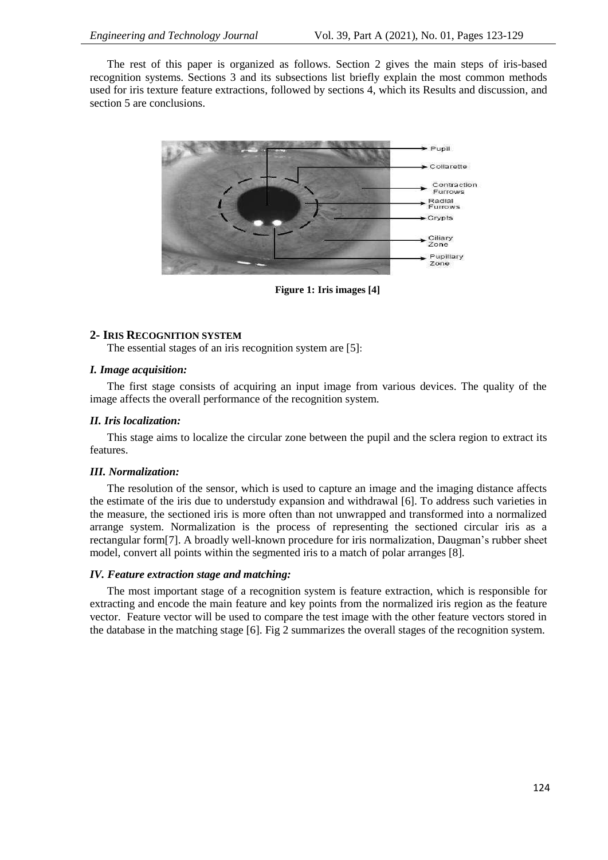The rest of this paper is organized as follows. Section 2 gives the main steps of iris-based recognition systems. Sections 3 and its subsections list briefly explain the most common methods used for iris texture feature extractions, followed by sections 4, which its Results and discussion, and section 5 are conclusions.



**Figure 1: Iris images [4]**

# **2- IRIS RECOGNITION SYSTEM**

The essential stages of an iris recognition system are [5]:

#### *I. Image acquisition:*

The first stage consists of acquiring an input image from various devices. The quality of the image affects the overall performance of the recognition system.

#### *II. Iris localization:*

This stage aims to localize the circular zone between the pupil and the sclera region to extract its features.

# *III. Normalization:*

The resolution of the sensor, which is used to capture an image and the imaging distance affects the estimate of the iris due to understudy expansion and withdrawal [6]. To address such varieties in the measure, the sectioned iris is more often than not unwrapped and transformed into a normalized arrange system. Normalization is the process of representing the sectioned circular iris as a rectangular form[7]. A broadly well-known procedure for iris normalization, Daugman's rubber sheet model, convert all points within the segmented iris to a match of polar arranges [8].

# *IV. Feature extraction stage and matching:*

The most important stage of a recognition system is feature extraction, which is responsible for extracting and encode the main feature and key points from the normalized iris region as the feature vector. Feature vector will be used to compare the test image with the other feature vectors stored in the database in the matching stage [6]. Fig 2 summarizes the overall stages of the recognition system.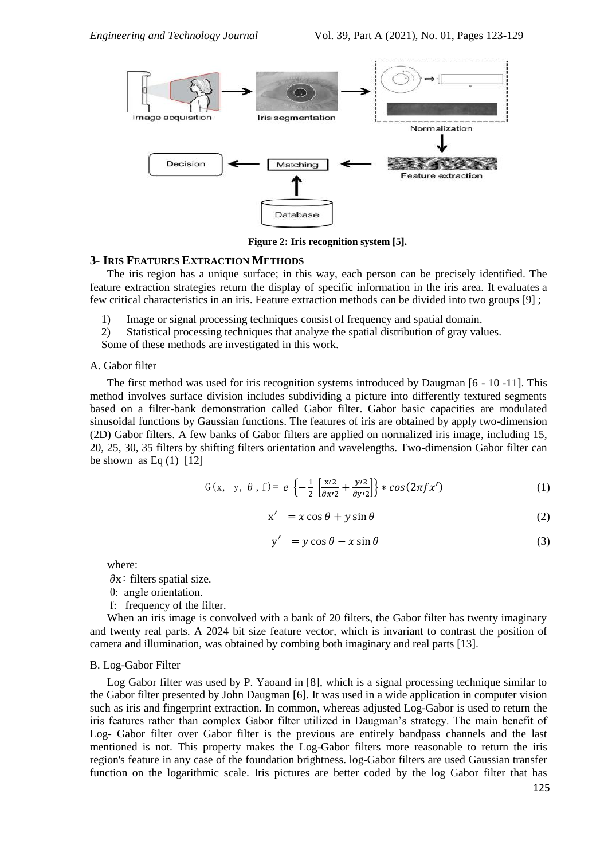

**Figure 2: Iris recognition system [5].**

# **3- IRIS FEATURES EXTRACTION METHODS**

The iris region has a unique surface; in this way, each person can be precisely identified. The feature extraction strategies return the display of specific information in the iris area. It evaluates a few critical characteristics in an iris. Feature extraction methods can be divided into two groups [9] ;

- 1) Image or signal processing techniques consist of frequency and spatial domain.
- 2) Statistical processing techniques that analyze the spatial distribution of gray values.

Some of these methods are investigated in this work.

#### A. Gabor filter

The first method was used for iris recognition systems introduced by Daugman [6 - 10 -11]. This method involves surface division includes subdividing a picture into differently textured segments based on a filter-bank demonstration called Gabor filter. Gabor basic capacities are modulated sinusoidal functions by Gaussian functions. The features of iris are obtained by apply two-dimension (2D) Gabor filters. A few banks of Gabor filters are applied on normalized iris image, including 15, 20, 25, 30, 35 filters by shifting filters orientation and wavelengths. Two-dimension Gabor filter can be shown as Eq  $(1)$  [12]

$$
G(x, y, \theta, f) = e \left\{ -\frac{1}{2} \left[ \frac{x/2}{\partial x/2} + \frac{y/2}{\partial y/2} \right] \right\} * cos(2\pi f x') \tag{1}
$$

$$
x' = x \cos \theta + y \sin \theta \tag{2}
$$

$$
y' = y \cos \theta - x \sin \theta \tag{3}
$$

where:

 $\partial x$ : filters spatial size.

- θ: angle orientation.
- f: frequency of the filter.

When an iris image is convolved with a bank of 20 filters, the Gabor filter has twenty imaginary and twenty real parts. A 2024 bit size feature vector, which is invariant to contrast the position of camera and illumination, was obtained by combing both imaginary and real parts [13].

#### B. Log-Gabor Filter

Log Gabor filter was used by P. Yaoand in [8], which is a signal processing technique similar to the Gabor filter presented by John Daugman [6]. It was used in a wide application in computer vision such as iris and fingerprint extraction. In common, whereas adjusted Log-Gabor is used to return the iris features rather than complex Gabor filter utilized in Daugman's strategy. The main benefit of Log- Gabor filter over Gabor filter is the previous are entirely bandpass channels and the last mentioned is not. This property makes the Log-Gabor filters more reasonable to return the iris region's feature in any case of the foundation brightness. log-Gabor filters are used Gaussian transfer function on the logarithmic scale. Iris pictures are better coded by the log Gabor filter that has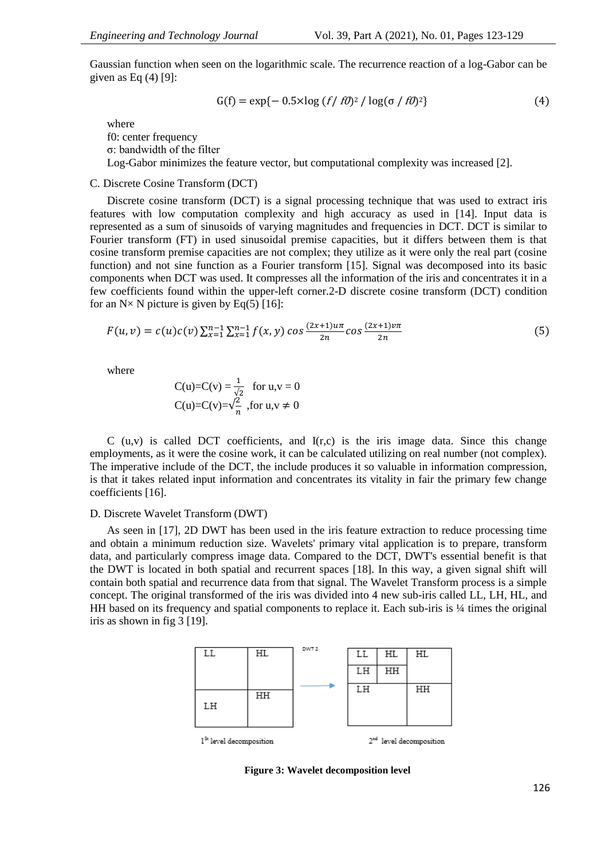Gaussian function when seen on the logarithmic scale. The recurrence reaction of a log-Gabor can be given as Eq  $(4)$  [9]:

$$
G(f) = \exp\{-0.5 \times \log\left(\frac{f}{f0}\right)^2 / \log(\sigma / f0)^2\}
$$
\n(4)

where f0: center frequency

σ: bandwidth of the filter

Log-Gabor minimizes the feature vector, but computational complexity was increased [2].

# C. Discrete Cosine Transform (DCT)

Discrete cosine transform (DCT) is a signal processing technique that was used to extract iris features with low computation complexity and high accuracy as used in [14]. Input data is represented as a sum of sinusoids of varying magnitudes and frequencies in DCT. DCT is similar to Fourier transform (FT) in used sinusoidal premise capacities, but it differs between them is that cosine transform premise capacities are not complex; they utilize as it were only the real part (cosine function) and not sine function as a Fourier transform [15]. Signal was decomposed into its basic components when DCT was used. It compresses all the information of the iris and concentrates it in a few coefficients found within the upper-left corner.2-D discrete cosine transform (DCT) condition for an  $N \times N$  picture is given by Eq(5) [16]:

$$
F(u,v) = c(u)c(v)\sum_{x=1}^{n-1}\sum_{x=1}^{n-1}f(x,y)\cos\frac{(2x+1)u\pi}{2n}\cos\frac{(2x+1)v\pi}{2n}
$$
(5)

where

$$
C(u)=C(v) = \frac{1}{\sqrt{2}} \text{ for } u,v = 0
$$
  
 
$$
C(u) = C(v) = \sqrt{\frac{2}{n}} \text{, for } u,v \neq 0
$$

C  $(u,v)$  is called DCT coefficients, and  $I(r,c)$  is the iris image data. Since this change employments, as it were the cosine work, it can be calculated utilizing on real number (not complex). The imperative include of the DCT, the include produces it so valuable in information compression, is that it takes related input information and concentrates its vitality in fair the primary few change coefficients [16].

# D. Discrete Wavelet Transform (DWT)

As seen in [17], 2D DWT has been used in the iris feature extraction to reduce processing time and obtain a minimum reduction size. Wavelets' primary vital application is to prepare, transform data, and particularly compress image data. Compared to the DCT, DWT's essential benefit is that the DWT is located in both spatial and recurrent spaces [18]. In this way, a given signal shift will contain both spatial and recurrence data from that signal. The Wavelet Transform process is a simple concept. The original transformed of the iris was divided into 4 new sub-iris called LL, LH, HL, and HH based on its frequency and spatial components to replace it. Each sub-iris is 1/4 times the original iris as shown in fig 3 [19].



**Figure 3: Wavelet decomposition level**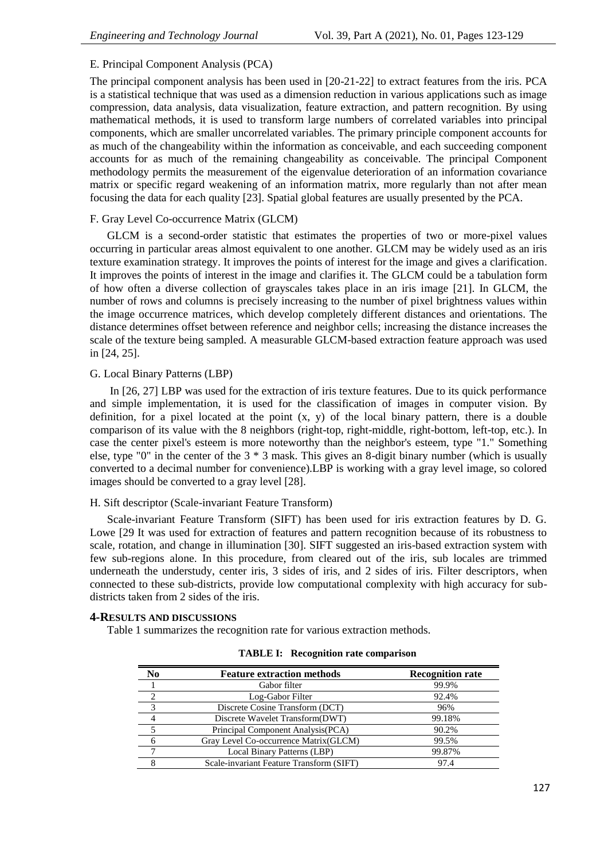# E. Principal Component Analysis (PCA)

The principal component analysis has been used in [20-21-22] to extract features from the iris. PCA is a statistical technique that was used as a dimension reduction in various applications such as image compression, data analysis, data visualization, feature extraction, and pattern recognition. By using mathematical methods, it is used to transform large numbers of correlated variables into principal components, which are smaller uncorrelated variables. The primary principle component accounts for as much of the changeability within the information as conceivable, and each succeeding component accounts for as much of the remaining changeability as conceivable. The principal Component methodology permits the measurement of the eigenvalue deterioration of an information covariance matrix or specific regard weakening of an information matrix, more regularly than not after mean focusing the data for each quality [23]. Spatial global features are usually presented by the PCA.

# F. Gray Level Co-occurrence Matrix (GLCM)

GLCM is a second-order statistic that estimates the properties of two or more-pixel values occurring in particular areas almost equivalent to one another. GLCM may be widely used as an iris texture examination strategy. It improves the points of interest for the image and gives a clarification. It improves the points of interest in the image and clarifies it. The GLCM could be a tabulation form of how often a diverse collection of grayscales takes place in an iris image [21]. In GLCM, the number of rows and columns is precisely increasing to the number of pixel brightness values within the image occurrence matrices, which develop completely different distances and orientations. The distance determines offset between reference and neighbor cells; increasing the distance increases the scale of the texture being sampled. A measurable GLCM-based extraction feature approach was used in [24, 25].

# G. Local Binary Patterns (LBP)

In [26, 27] LBP was used for the extraction of iris texture features. Due to its quick performance and simple implementation, it is used for the classification of images in computer vision. By definition, for a pixel located at the point (x, y) of the local binary pattern, there is a double comparison of its value with the 8 neighbors (right-top, right-middle, right-bottom, left-top, etc.). In case the center pixel's esteem is more noteworthy than the neighbor's esteem, type "1." Something else, type "0" in the center of the 3 \* 3 mask. This gives an 8-digit binary number (which is usually converted to a decimal number for convenience).LBP is working with a gray level image, so colored images should be converted to a gray level [28].

### H. Sift descriptor (Scale-invariant Feature Transform)

Scale-invariant Feature Transform (SIFT) has been used for iris extraction features by D. G. Lowe [29 It was used for extraction of features and pattern recognition because of its robustness to scale, rotation, and change in illumination [30]. SIFT suggested an iris-based extraction system with few sub-regions alone. In this procedure, from cleared out of the iris, sub locales are trimmed underneath the understudy, center iris, 3 sides of iris, and 2 sides of iris. Filter descriptors, when connected to these sub-districts, provide low computational complexity with high accuracy for subdistricts taken from 2 sides of the iris.

# **4-RESULTS AND DISCUSSIONS**

Table 1 summarizes the recognition rate for various extraction methods.

| No | <b>Feature extraction methods</b>        | <b>Recognition rate</b> |
|----|------------------------------------------|-------------------------|
|    | Gabor filter                             | 99.9%                   |
|    | Log-Gabor Filter                         | 92.4%                   |
|    | Discrete Cosine Transform (DCT)          | 96%                     |
|    | Discrete Wavelet Transform(DWT)          | 99.18%                  |
|    | Principal Component Analysis (PCA)       | 90.2%                   |
|    | Gray Level Co-occurrence Matrix (GLCM)   | 99.5%                   |
|    | Local Binary Patterns (LBP)              | 99.87%                  |
|    | Scale-invariant Feature Transform (SIFT) |                         |

|  | <b>TABLE I: Recognition rate comparison</b> |  |  |
|--|---------------------------------------------|--|--|
|--|---------------------------------------------|--|--|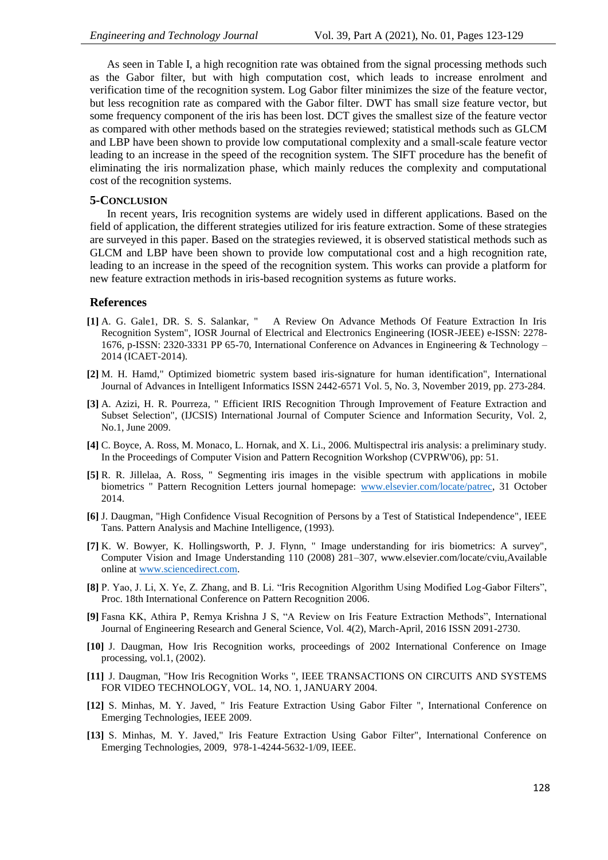As seen in Table I, a high recognition rate was obtained from the signal processing methods such as the Gabor filter, but with high computation cost, which leads to increase enrolment and verification time of the recognition system. Log Gabor filter minimizes the size of the feature vector, but less recognition rate as compared with the Gabor filter. DWT has small size feature vector, but some frequency component of the iris has been lost. DCT gives the smallest size of the feature vector as compared with other methods based on the strategies reviewed; statistical methods such as GLCM and LBP have been shown to provide low computational complexity and a small-scale feature vector leading to an increase in the speed of the recognition system. The SIFT procedure has the benefit of eliminating the iris normalization phase, which mainly reduces the complexity and computational cost of the recognition systems.

#### **5-CONCLUSION**

In recent years, Iris recognition systems are widely used in different applications. Based on the field of application, the different strategies utilized for iris feature extraction. Some of these strategies are surveyed in this paper. Based on the strategies reviewed*,* it is observed statistical methods such as GLCM and LBP have been shown to provide low computational cost and a high recognition rate, leading to an increase in the speed of the recognition system. This works can provide a platform for new feature extraction methods in iris-based recognition systems as future works.

#### **References**

- **[1]** A. G. Gale1, DR. S. S. Salankar, " A Review On Advance Methods Of Feature Extraction In Iris Recognition System", IOSR Journal of Electrical and Electronics Engineering (IOSR-JEEE) e-ISSN: 2278- 1676, p-ISSN: 2320-3331 PP 65-70, International Conference on Advances in Engineering & Technology – 2014 (ICAET-2014).
- **[2]** M. H. Hamd," Optimized biometric system based iris-signature for human identification", International Journal of Advances in Intelligent Informatics ISSN 2442-6571 Vol. 5, No. 3, November 2019, pp. 273-284.
- **[3]** A. Azizi, H. R. Pourreza, " Efficient IRIS Recognition Through Improvement of Feature Extraction and Subset Selection", (IJCSIS) International Journal of Computer Science and Information Security, Vol. 2, No.1, June 2009.
- **[4]** C. Boyce, A. Ross, M. Monaco, L. Hornak, and X. Li., 2006. Multispectral iris analysis: a preliminary study. In the Proceedings of Computer Vision and Pattern Recognition Workshop (CVPRW'06), pp: 51.
- **[5]** R. R. Jillelaa, A. Ross, " Segmenting iris images in the visible spectrum with applications in mobile biometrics " Pattern Recognition Letters journal homepage: [www.elsevier.com/locate/patrec,](file:///F:/project/نظري/مصادر/iris%20biometric/reveiw%20paper%20iris%20feature%20extraction/www.elsevier.com/locate/patrec) 31 October 2014.
- **[6]** J. Daugman, "High Confidence Visual Recognition of Persons by a Test of Statistical Independence", IEEE Tans. Pattern Analysis and Machine Intelligence, (1993).
- **[7]** K. W. Bowyer, K. Hollingsworth, P. J. Flynn, " Image understanding for iris biometrics: A survey", Computer Vision and Image Understanding 110 (2008) 281–307, www.elsevier.com/locate/cviu,Available online at [www.sciencedirect.com.](file:///F:/project/نظري/مصادر/iris%20biometric/reveiw%20paper%20iris%20feature%20extraction/www.sciencedirect.com)
- **[8]** P. Yao, J. Li, X. Ye, Z. Zhang, and B. Li. "Iris Recognition Algorithm Using Modified Log-Gabor Filters", Proc. 18th International Conference on Pattern Recognition 2006.
- **[9]** Fasna KK, Athira P, Remya Krishna J S, "A Review on Iris Feature Extraction Methods", International Journal of Engineering Research and General Science, Vol. 4(2), March-April, 2016 ISSN 2091-2730.
- **[10]** J. Daugman, How Iris Recognition works, proceedings of 2002 International Conference on Image processing, vol.1, (2002).
- **[11]** J. Daugman, "How Iris Recognition Works ", IEEE TRANSACTIONS ON CIRCUITS AND SYSTEMS FOR VIDEO TECHNOLOGY, VOL. 14, NO. 1, JANUARY 2004.
- **[12]** S. Minhas, M. Y. Javed, " Iris Feature Extraction Using Gabor Filter ", International Conference on Emerging Technologies, IEEE 2009.
- **[13]** S. Minhas, M. Y. Javed," Iris Feature Extraction Using Gabor Filter", International Conference on Emerging Technologies, 2009, 978-1-4244-5632-1/09, IEEE.